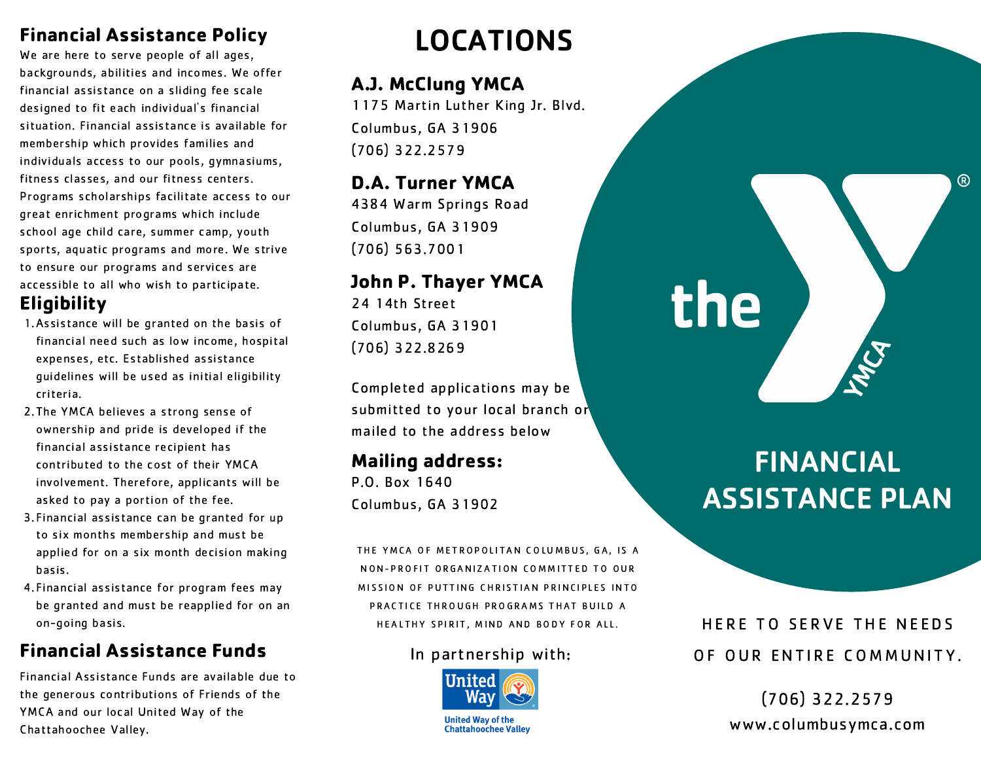### Financial Assistance Policy

We are here to serve people of all ages, backgrounds, abilities and incomes. We offer financial assistance on a sliding fee scale designed to fit each individual's financial situation. Financial assistance is available for membership which provides families and individuals access to our pools, gymnasiums, fitness classes, and our fitness centers. Programs scholarships facilitate access to our great enrichment programs which include school age child care, summer camp, youth sports, aquatic programs and more. We strive to ensure our programs and services are accessible to all who wish to participate.

## **Eligibility**

- Assistance will be granted on the basis of 1. financial need such as low income, hospital expenses, etc. Established assistance guidelines will be used as initial eligibility criteria.
- 2. The YMCA believes a strong sense of ownership and pride is developed if the financial assistance recipient has contributed to the cost of their YMCA involvement. Therefore, applicants will be asked to pay a portion of the fee.
- 3. Financial assistance can be granted for up to six months membership and must be applied for on a six month decision making basis.
- Financial assistance for program fees may 4. be granted and must be reapplied for on an on-going basis.

# Financial Assistance Funds

Financial Assistance Funds are available due to the generous contributions of Friends of the YMCA and our local United Way of the Chattahoochee Valley.

# LOCATIONS

## A.J. McClung YMCA

1175 Martin Luther King Jr. Blvd. Columbus, GA 31906 (706) 322.2579

## D.A. Turner YMCA

4384 Warm Springs Road Columbus, GA 31909 (706) 563.7001

## John P. Thayer YMCA

24 14th Street Columbus, GA 31901 (706) 322.8269

Completed applications may be submitted to your local branch or mailed to the address below

## Mailing address:

P.O. Box 1640 Columbus, GA 31902

THE YMCA OF METROPOLITAN COLUMBUS, GA, IS A NON-PROFIT ORGANIZATION COMMITTED TO OUR MISSION OF PUTTING CHRISTIAN PRINCIPLES INTO PRACTICE THROUGH PROGRAMS THAT BUILD A HEALTHY SPIRIT, MIND AND BODY FOR ALL.

#### In partnership with:



**United Way of the Chattahoochee Valley** 

# FINANCIAL ASSISTANCE PLAN

the

 $(R)$ 

HERE TO SERVE THE NEEDS OF OUR ENTIRE COMMUNITY.

> (706) 322.2579 www.columbusymca.com